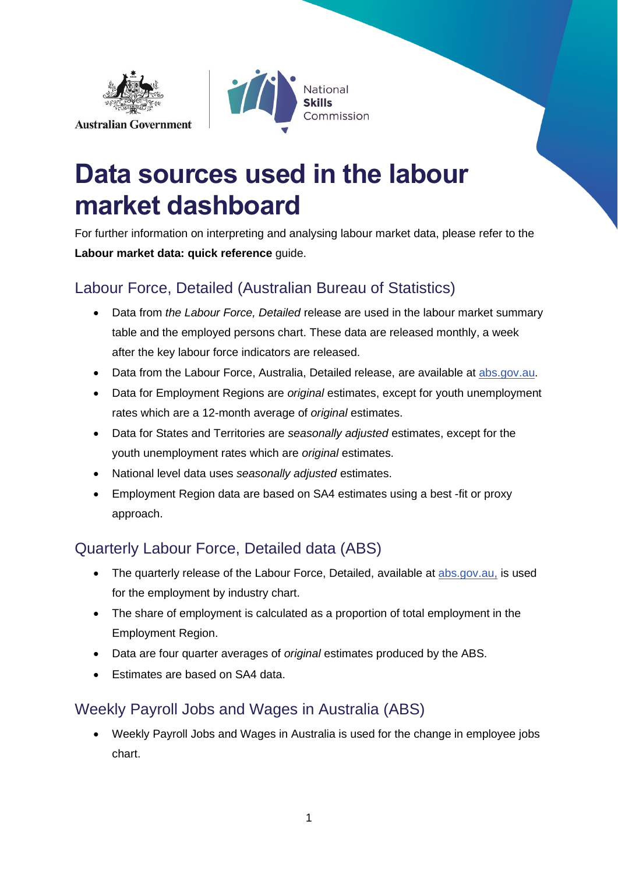



# **Data sources used in the labour market dashboard**

For further information on interpreting and analysing labour market data, please refer to the **Labour market data: quick reference** guide.

## Labour Force, Detailed (Australian Bureau of Statistics)

- Data from *the Labour Force, Detailed* release are used in the labour market summary table and the employed persons chart. These data are released monthly, a week after the key labour force indicators are released.
- Data from the Labour Force, Australia, Detailed release, are available at [abs.gov.au.](https://www.abs.gov.au/statistics/labour/employment-and-unemployment/labour-force-australia/latest-release)
- Data for Employment Regions are *original* estimates, except for youth unemployment rates which are a 12-month average of *original* estimates.
- Data for States and Territories are *seasonally adjusted* estimates, except for the youth unemployment rates which are *original* estimates.
- National level data uses *seasonally adjusted* estimates.
- Employment Region data are based on SA4 estimates using a best -fit or proxy approach.

## Quarterly Labour Force, Detailed data (ABS)

- The quarterly release of the Labour Force, Detailed, available at [abs.gov.au,](https://www.abs.gov.au/statistics/labour/employment-and-unemployment/labour-force-australia/latest-release) is used for the employment by industry chart.
- The share of employment is calculated as a proportion of total employment in the Employment Region.
- Data are four quarter averages of *original* estimates produced by the ABS.
- Estimates are based on SA4 data.

### Weekly Payroll Jobs and Wages in Australia (ABS)

• Weekly Payroll Jobs and Wages in Australia is used for the change in employee jobs chart.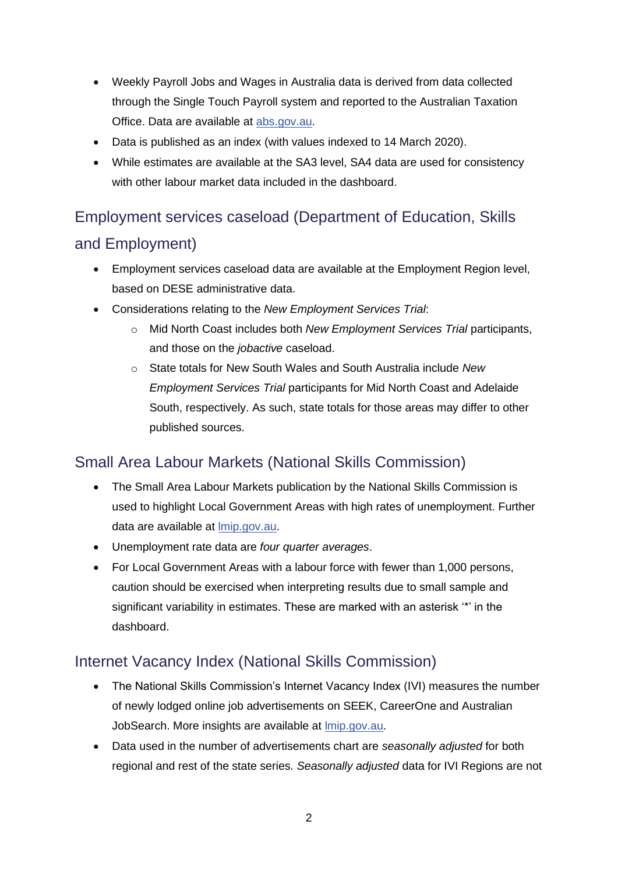- Weekly Payroll Jobs and Wages in Australia data is derived from data collected through the Single Touch Payroll system and reported to the Australian Taxation Office. Data are available at [abs.gov.au.](https://www.abs.gov.au/statistics/labour/earnings-and-work-hours/weekly-payroll-jobs-and-wages-australia)
- Data is published as an index (with values indexed to 14 March 2020).
- While estimates are available at the SA3 level, SA4 data are used for consistency with other labour market data included in the dashboard.

# Employment services caseload (Department of Education, Skills and Employment)

- Employment services caseload data are available at the Employment Region level, based on DESE administrative data.
- Considerations relating to the *New Employment Services Trial*:
	- o Mid North Coast includes both *New Employment Services Trial* participants, and those on the *jobactive* caseload.
	- o State totals for New South Wales and South Australia include *New Employment Services Trial* participants for Mid North Coast and Adelaide South, respectively. As such, state totals for those areas may differ to other published sources.

### Small Area Labour Markets (National Skills Commission)

- The Small Area Labour Markets publication by the National Skills Commission is used to highlight Local Government Areas with high rates of unemployment. Further data are available at *mip.gov.au.*
- Unemployment rate data are *four quarter averages*.
- For Local Government Areas with a labour force with fewer than 1,000 persons, caution should be exercised when interpreting results due to small sample and significant variability in estimates. These are marked with an asterisk '\*' in the dashboard.

#### Internet Vacancy Index (National Skills Commission)

- The National Skills Commission's Internet Vacancy Index (IVI) measures the number of newly lodged online job advertisements on SEEK, CareerOne and Australian JobSearch. More insights are available at *Imip.gov.au.*
- Data used in the number of advertisements chart are *seasonally adjusted* for both regional and rest of the state series. *Seasonally adjusted* data for IVI Regions are not